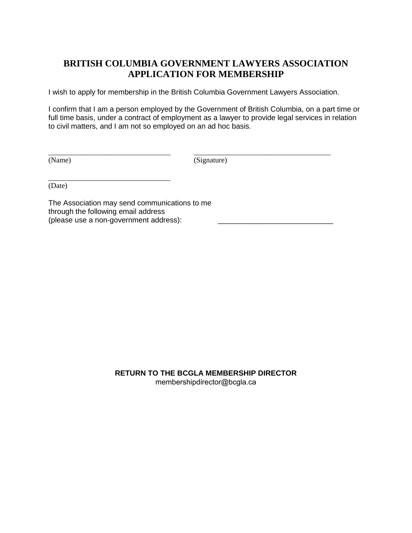## **BRITISH COLUMBIA GOVERNMENT LAWYERS ASSOCIATION APPLICATION FOR MEMBERSHIP**

I wish to apply for membership in the British Columbia Government Lawyers Association.

\_\_\_\_\_\_\_\_\_\_\_\_\_\_\_\_\_\_\_\_\_\_\_\_\_\_\_\_\_\_\_\_\_ \_\_\_\_\_\_\_\_\_\_\_\_\_\_\_\_\_\_\_\_\_\_\_\_\_\_\_\_\_\_\_\_\_\_\_\_\_

I confirm that I am a person employed by the Government of British Columbia, on a part time or full time basis, under a contract of employment as a lawyer to provide legal services in relation to civil matters, and I am not so employed on an ad hoc basis.

(Name) (Signature)

(Date)

The Association may send communications to me through the following email address (please use a non-government address):

\_\_\_\_\_\_\_\_\_\_\_\_\_\_\_\_\_\_\_\_\_\_\_\_\_\_\_\_\_\_\_\_\_

**RETURN TO THE BCGLA MEMBERSHIP DIRECTOR** membershipdirector@bcgla.ca